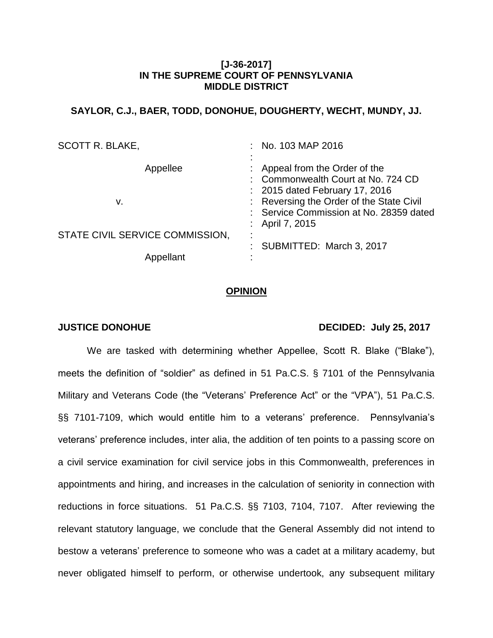# **[J-36-2017] IN THE SUPREME COURT OF PENNSYLVANIA MIDDLE DISTRICT**

# **SAYLOR, C.J., BAER, TODD, DONOHUE, DOUGHERTY, WECHT, MUNDY, JJ.**

| <b>SCOTT R. BLAKE,</b>          | : No. 103 MAP 2016                                                                                     |
|---------------------------------|--------------------------------------------------------------------------------------------------------|
| Appellee                        | : Appeal from the Order of the<br>Commonwealth Court at No. 724 CD<br>: 2015 dated February 17, 2016   |
| ν.                              | : Reversing the Order of the State Civil<br>: Service Commission at No. 28359 dated<br>: April 7, 2015 |
| STATE CIVIL SERVICE COMMISSION, | ٠<br>SUBMITTED: March 3, 2017                                                                          |
| Appellant                       |                                                                                                        |

## **OPINION**

## **JUSTICE DONOHUE DECIDED: July 25, 2017**

We are tasked with determining whether Appellee, Scott R. Blake ("Blake"), meets the definition of "soldier" as defined in 51 Pa.C.S. § 7101 of the Pennsylvania Military and Veterans Code (the "Veterans' Preference Act" or the "VPA"), 51 Pa.C.S. §§ 7101-7109, which would entitle him to a veterans' preference. Pennsylvania's veterans' preference includes, inter alia, the addition of ten points to a passing score on a civil service examination for civil service jobs in this Commonwealth, preferences in appointments and hiring, and increases in the calculation of seniority in connection with reductions in force situations. 51 Pa.C.S. §§ 7103, 7104, 7107. After reviewing the relevant statutory language, we conclude that the General Assembly did not intend to bestow a veterans' preference to someone who was a cadet at a military academy, but never obligated himself to perform, or otherwise undertook, any subsequent military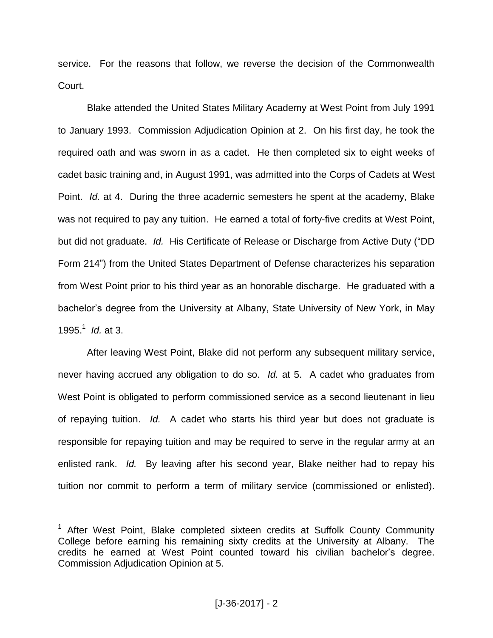service. For the reasons that follow, we reverse the decision of the Commonwealth Court.

Blake attended the United States Military Academy at West Point from July 1991 to January 1993. Commission Adjudication Opinion at 2. On his first day, he took the required oath and was sworn in as a cadet. He then completed six to eight weeks of cadet basic training and, in August 1991, was admitted into the Corps of Cadets at West Point. *Id.* at 4. During the three academic semesters he spent at the academy, Blake was not required to pay any tuition. He earned a total of forty-five credits at West Point, but did not graduate. *Id.* His Certificate of Release or Discharge from Active Duty ("DD Form 214") from the United States Department of Defense characterizes his separation from West Point prior to his third year as an honorable discharge. He graduated with a bachelor's degree from the University at Albany, State University of New York, in May 1995.<sup>1</sup> *Id.* at 3.

After leaving West Point, Blake did not perform any subsequent military service, never having accrued any obligation to do so. *Id.* at 5. A cadet who graduates from West Point is obligated to perform commissioned service as a second lieutenant in lieu of repaying tuition. *Id.* A cadet who starts his third year but does not graduate is responsible for repaying tuition and may be required to serve in the regular army at an enlisted rank. *Id.* By leaving after his second year, Blake neither had to repay his tuition nor commit to perform a term of military service (commissioned or enlisted).

<sup>&</sup>lt;sup>1</sup> After West Point, Blake completed sixteen credits at Suffolk County Community College before earning his remaining sixty credits at the University at Albany. The credits he earned at West Point counted toward his civilian bachelor's degree. Commission Adjudication Opinion at 5.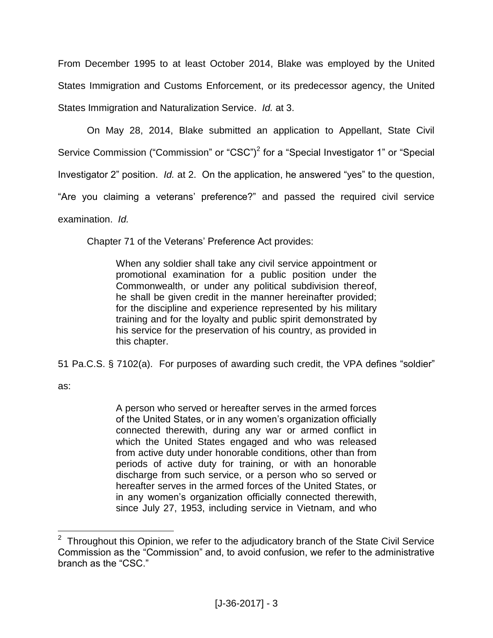From December 1995 to at least October 2014, Blake was employed by the United States Immigration and Customs Enforcement, or its predecessor agency, the United States Immigration and Naturalization Service. *Id.* at 3.

On May 28, 2014, Blake submitted an application to Appellant, State Civil Service Commission ("Commission" or "CSC")<sup>2</sup> for a "Special Investigator 1" or "Special Investigator 2" position. *Id.* at 2. On the application, he answered "yes" to the question, "Are you claiming a veterans' preference?" and passed the required civil service examination. *Id.*

Chapter 71 of the Veterans' Preference Act provides:

When any soldier shall take any civil service appointment or promotional examination for a public position under the Commonwealth, or under any political subdivision thereof, he shall be given credit in the manner hereinafter provided; for the discipline and experience represented by his military training and for the loyalty and public spirit demonstrated by his service for the preservation of his country, as provided in this chapter.

51 Pa.C.S. § 7102(a). For purposes of awarding such credit, the VPA defines "soldier"

as:

A person who served or hereafter serves in the armed forces of the United States, or in any women's organization officially connected therewith, during any war or armed conflict in which the United States engaged and who was released from active duty under honorable conditions, other than from periods of active duty for training, or with an honorable discharge from such service, or a person who so served or hereafter serves in the armed forces of the United States, or in any women's organization officially connected therewith, since July 27, 1953, including service in Vietnam, and who

**EXECUTE:**<br><sup>2</sup> Throughout this Opinion, we refer to the adjudicatory branch of the State Civil Service Commission as the "Commission" and, to avoid confusion, we refer to the administrative branch as the "CSC."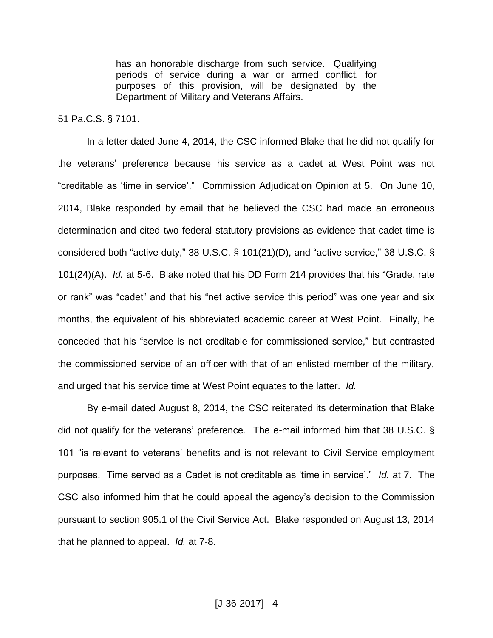has an honorable discharge from such service. Qualifying periods of service during a war or armed conflict, for purposes of this provision, will be designated by the Department of Military and Veterans Affairs.

## 51 Pa.C.S. § 7101.

In a letter dated June 4, 2014, the CSC informed Blake that he did not qualify for the veterans' preference because his service as a cadet at West Point was not "creditable as 'time in service'." Commission Adjudication Opinion at 5. On June 10, 2014, Blake responded by email that he believed the CSC had made an erroneous determination and cited two federal statutory provisions as evidence that cadet time is considered both "active duty," 38 U.S.C. § 101(21)(D), and "active service," 38 U.S.C. § 101(24)(A). *Id.* at 5-6. Blake noted that his DD Form 214 provides that his "Grade, rate or rank" was "cadet" and that his "net active service this period" was one year and six months, the equivalent of his abbreviated academic career at West Point. Finally, he conceded that his "service is not creditable for commissioned service," but contrasted the commissioned service of an officer with that of an enlisted member of the military, and urged that his service time at West Point equates to the latter. *Id.* 

By e-mail dated August 8, 2014, the CSC reiterated its determination that Blake did not qualify for the veterans' preference. The e-mail informed him that 38 U.S.C. § 101 "is relevant to veterans' benefits and is not relevant to Civil Service employment purposes. Time served as a Cadet is not creditable as 'time in service'." *Id.* at 7. The CSC also informed him that he could appeal the agency's decision to the Commission pursuant to section 905.1 of the Civil Service Act. Blake responded on August 13, 2014 that he planned to appeal. *Id.* at 7-8.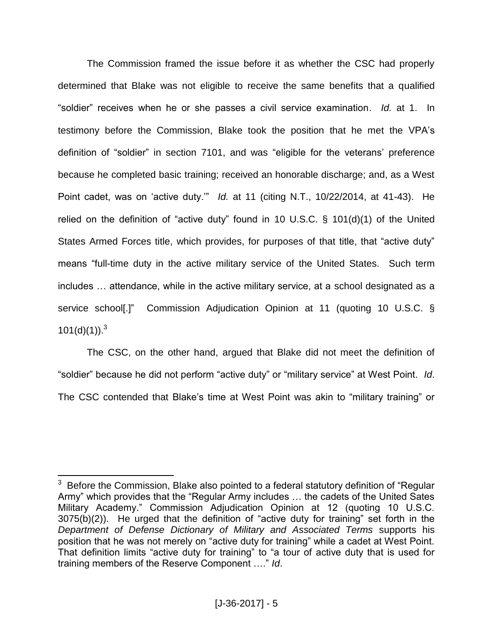The Commission framed the issue before it as whether the CSC had properly determined that Blake was not eligible to receive the same benefits that a qualified "soldier" receives when he or she passes a civil service examination. *Id.* at 1. In testimony before the Commission, Blake took the position that he met the VPA's definition of "soldier" in section 7101, and was "eligible for the veterans' preference because he completed basic training; received an honorable discharge; and, as a West Point cadet, was on 'active duty.'" *Id.* at 11 (citing N.T., 10/22/2014, at 41-43). He relied on the definition of "active duty" found in 10 U.S.C. § 101(d)(1) of the United States Armed Forces title, which provides, for purposes of that title, that "active duty" means "full-time duty in the active military service of the United States. Such term includes … attendance, while in the active military service, at a school designated as a service school[.]" Commission Adjudication Opinion at 11 (quoting 10 U.S.C. §  $101(d)(1)$ .<sup>3</sup>

The CSC, on the other hand, argued that Blake did not meet the definition of "soldier" because he did not perform "active duty" or "military service" at West Point. *Id*. The CSC contended that Blake's time at West Point was akin to "military training" or

 $3$  Before the Commission, Blake also pointed to a federal statutory definition of "Regular Army" which provides that the "Regular Army includes … the cadets of the United Sates Military Academy." Commission Adjudication Opinion at 12 (quoting 10 U.S.C. 3075(b)(2)). He urged that the definition of "active duty for training" set forth in the *Department of Defense Dictionary of Military and Associated Terms* supports his position that he was not merely on "active duty for training" while a cadet at West Point. That definition limits "active duty for training" to "a tour of active duty that is used for training members of the Reserve Component …." *Id*.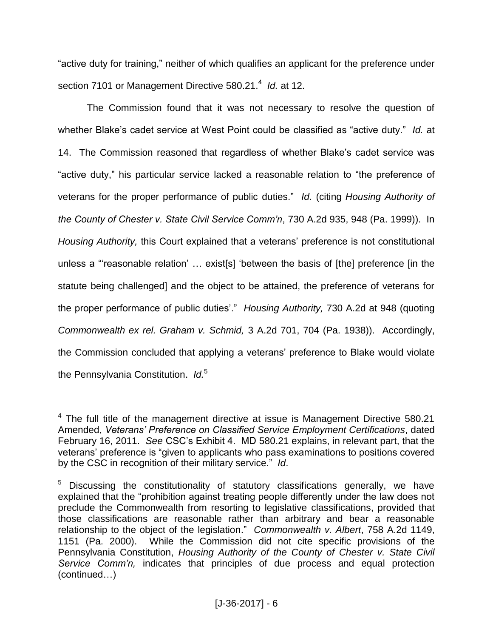"active duty for training," neither of which qualifies an applicant for the preference under section 7101 or Management Directive 580.21.<sup>4</sup> Id. at 12.

The Commission found that it was not necessary to resolve the question of whether Blake's cadet service at West Point could be classified as "active duty." *Id.* at 14. The Commission reasoned that regardless of whether Blake's cadet service was "active duty," his particular service lacked a reasonable relation to "the preference of veterans for the proper performance of public duties." *Id.* (citing *Housing Authority of the County of Chester v. State Civil Service Comm'n*, 730 A.2d 935, 948 (Pa. 1999)). In *Housing Authority,* this Court explained that a veterans' preference is not constitutional unless a "'reasonable relation' … exist[s] 'between the basis of [the] preference [in the statute being challenged] and the object to be attained, the preference of veterans for the proper performance of public duties'." *Housing Authority,* 730 A.2d at 948 (quoting *Commonwealth ex rel. Graham v. Schmid,* 3 A.2d 701, 704 (Pa. 1938)). Accordingly, the Commission concluded that applying a veterans' preference to Blake would violate the Pennsylvania Constitution. *Id.*<sup>5</sup>

 $\overline{a}$  $4$  The full title of the management directive at issue is Management Directive 580.21 Amended, *Veterans' Preference on Classified Service Employment Certifications*, dated February 16, 2011. *See* CSC's Exhibit 4. MD 580.21 explains, in relevant part, that the veterans' preference is "given to applicants who pass examinations to positions covered by the CSC in recognition of their military service." *Id*.

<sup>&</sup>lt;sup>5</sup> Discussing the constitutionality of statutory classifications generally, we have explained that the "prohibition against treating people differently under the law does not preclude the Commonwealth from resorting to legislative classifications, provided that those classifications are reasonable rather than arbitrary and bear a reasonable relationship to the object of the legislation." *Commonwealth v. Albert*, 758 A.2d 1149, 1151 (Pa. 2000). While the Commission did not cite specific provisions of the Pennsylvania Constitution, *Housing Authority of the County of Chester v. State Civil Service Comm'n,* indicates that principles of due process and equal protection (continued…)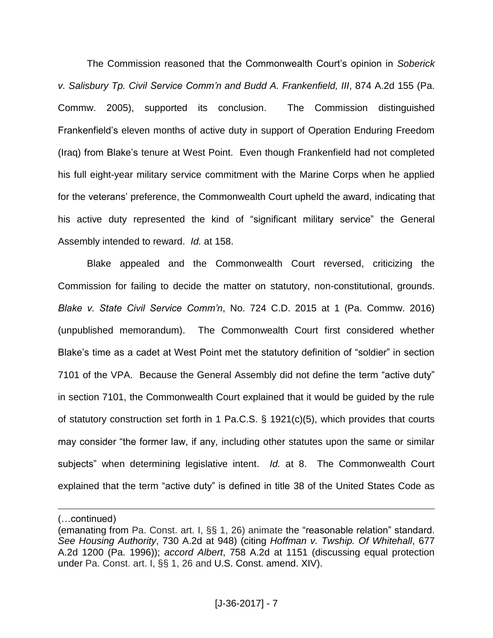The Commission reasoned that the Commonwealth Court's opinion in *Soberick v. Salisbury Tp. Civil Service Comm'n and Budd A. Frankenfield, III*, 874 A.2d 155 (Pa. Commw. 2005), supported its conclusion. The Commission distinguished Frankenfield's eleven months of active duty in support of Operation Enduring Freedom (Iraq) from Blake's tenure at West Point. Even though Frankenfield had not completed his full eight-year military service commitment with the Marine Corps when he applied for the veterans' preference, the Commonwealth Court upheld the award, indicating that his active duty represented the kind of "significant military service" the General Assembly intended to reward. *Id.* at 158.

Blake appealed and the Commonwealth Court reversed, criticizing the Commission for failing to decide the matter on statutory, non-constitutional, grounds. *Blake v. State Civil Service Comm'n*, No. 724 C.D. 2015 at 1 (Pa. Commw. 2016) (unpublished memorandum). The Commonwealth Court first considered whether Blake's time as a cadet at West Point met the statutory definition of "soldier" in section 7101 of the VPA. Because the General Assembly did not define the term "active duty" in section 7101, the Commonwealth Court explained that it would be guided by the rule of statutory construction set forth in 1 Pa.C.S. § 1921(c)(5), which provides that courts may consider "the former law, if any, including other statutes upon the same or similar subjects" when determining legislative intent. *Id.* at 8. The Commonwealth Court explained that the term "active duty" is defined in title 38 of the United States Code as

(…continued)

<sup>(</sup>emanating from Pa. Const. art. I, §§ 1, 26) animate the "reasonable relation" standard. *See Housing Authority*, 730 A.2d at 948) (citing *Hoffman v. Twship. Of Whitehall*, 677 A.2d 1200 (Pa. 1996)); *accord Albert*, 758 A.2d at 1151 (discussing equal protection under Pa. Const. art. I, §§ 1, 26 and U.S. Const. amend. XIV).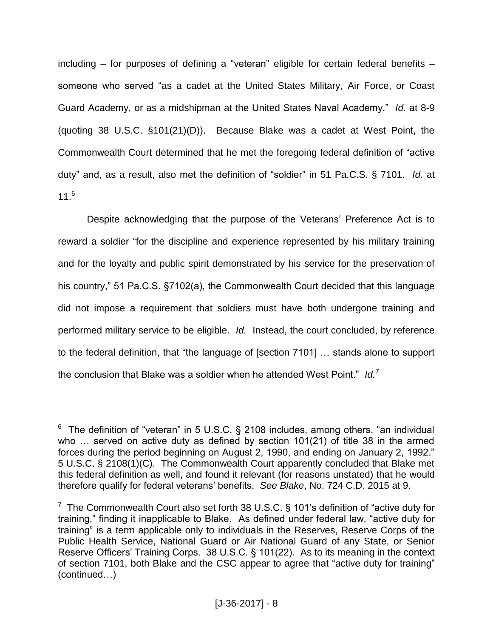including – for purposes of defining a "veteran" eligible for certain federal benefits – someone who served "as a cadet at the United States Military, Air Force, or Coast Guard Academy, or as a midshipman at the United States Naval Academy." *Id.* at 8-9 (quoting 38 U.S.C. §101(21)(D)). Because Blake was a cadet at West Point, the Commonwealth Court determined that he met the foregoing federal definition of "active duty" and, as a result, also met the definition of "soldier" in 51 Pa.C.S. § 7101. *Id.* at  $11<sup>6</sup>$ 

Despite acknowledging that the purpose of the Veterans' Preference Act is to reward a soldier "for the discipline and experience represented by his military training and for the loyalty and public spirit demonstrated by his service for the preservation of his country," 51 Pa.C.S. §7102(a), the Commonwealth Court decided that this language did not impose a requirement that soldiers must have both undergone training and performed military service to be eligible. *Id.* Instead, the court concluded, by reference to the federal definition, that "the language of [section 7101] … stands alone to support the conclusion that Blake was a soldier when he attended West Point." *Id.*<sup>7</sup>

 $\overline{a}$  $6$  The definition of "veteran" in 5 U.S.C. § 2108 includes, among others, "an individual who … served on active duty as defined by section 101(21) of title 38 in the armed forces during the period beginning on August 2, 1990, and ending on January 2, 1992." 5 U.S.C. § 2108(1)(C). The Commonwealth Court apparently concluded that Blake met this federal definition as well, and found it relevant (for reasons unstated) that he would therefore qualify for federal veterans' benefits. *See Blake*, No. 724 C.D. 2015 at 9.

<sup>&</sup>lt;sup>7</sup> The Commonwealth Court also set forth 38 U.S.C. § 101's definition of "active duty for training," finding it inapplicable to Blake. As defined under federal law, "active duty for training" is a term applicable only to individuals in the Reserves, Reserve Corps of the Public Health Service, National Guard or Air National Guard of any State, or Senior Reserve Officers' Training Corps. 38 U.S.C. § 101(22). As to its meaning in the context of section 7101, both Blake and the CSC appear to agree that "active duty for training" (continued…)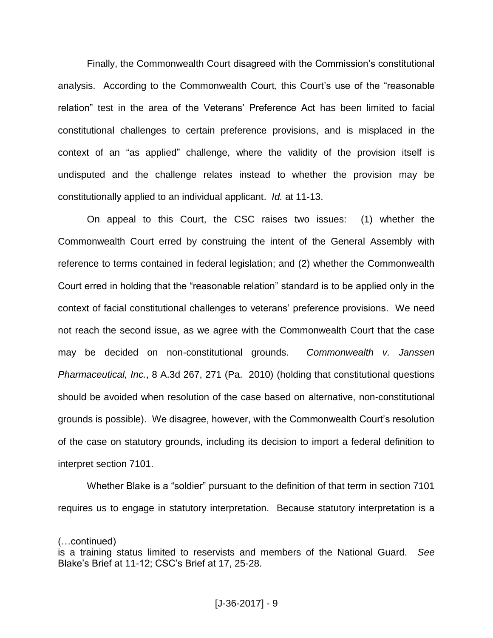Finally, the Commonwealth Court disagreed with the Commission's constitutional analysis. According to the Commonwealth Court, this Court's use of the "reasonable relation" test in the area of the Veterans' Preference Act has been limited to facial constitutional challenges to certain preference provisions, and is misplaced in the context of an "as applied" challenge, where the validity of the provision itself is undisputed and the challenge relates instead to whether the provision may be constitutionally applied to an individual applicant. *Id.* at 11-13.

On appeal to this Court, the CSC raises two issues: (1) whether the Commonwealth Court erred by construing the intent of the General Assembly with reference to terms contained in federal legislation; and (2) whether the Commonwealth Court erred in holding that the "reasonable relation" standard is to be applied only in the context of facial constitutional challenges to veterans' preference provisions. We need not reach the second issue, as we agree with the Commonwealth Court that the case may be decided on non-constitutional grounds. *Commonwealth v. Janssen Pharmaceutical, Inc.*, 8 A.3d 267, 271 (Pa. 2010) (holding that constitutional questions should be avoided when resolution of the case based on alternative, non-constitutional grounds is possible). We disagree, however, with the Commonwealth Court's resolution of the case on statutory grounds, including its decision to import a federal definition to interpret section 7101.

Whether Blake is a "soldier" pursuant to the definition of that term in section 7101 requires us to engage in statutory interpretation. Because statutory interpretation is a

<sup>(…</sup>continued)

is a training status limited to reservists and members of the National Guard. *See*  Blake's Brief at 11-12; CSC's Brief at 17, 25-28.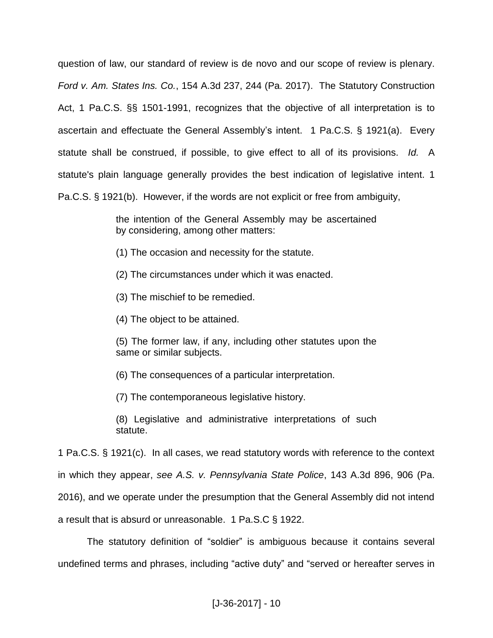question of law, our standard of review is de novo and our scope of review is plenary. *Ford v. Am. States Ins. Co.*, 154 A.3d 237, 244 (Pa. 2017). The Statutory Construction Act, 1 Pa.C.S. §§ 1501-1991, recognizes that the objective of all interpretation is to ascertain and effectuate the General Assembly's intent. 1 Pa.C.S. § 1921(a). Every statute shall be construed, if possible, to give effect to all of its provisions. *Id.* A statute's plain language generally provides the best indication of legislative intent. 1 Pa.C.S. § 1921(b). However, if the words are not explicit or free from ambiguity,

> the intention of the General Assembly may be ascertained by considering, among other matters:

- (1) The occasion and necessity for the statute.
- (2) The circumstances under which it was enacted.
- (3) The mischief to be remedied.
- (4) The object to be attained.

(5) The former law, if any, including other statutes upon the same or similar subjects.

(6) The consequences of a particular interpretation.

(7) The contemporaneous legislative history.

(8) Legislative and administrative interpretations of such statute.

1 Pa.C.S. § 1921(c). In all cases, we read statutory words with reference to the context in which they appear, *see A.S. v. Pennsylvania State Police*, 143 A.3d 896, 906 (Pa. 2016), and we operate under the presumption that the General Assembly did not intend a result that is absurd or unreasonable. 1 Pa.S.C § 1922.

The statutory definition of "soldier" is ambiguous because it contains several undefined terms and phrases, including "active duty" and "served or hereafter serves in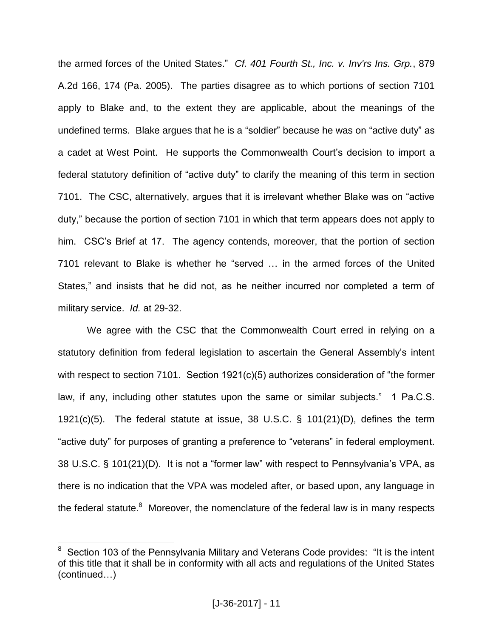the armed forces of the United States." *Cf. 401 Fourth St., Inc. v. Inv'rs Ins. Grp.*, 879 A.2d 166, 174 (Pa. 2005). The parties disagree as to which portions of section 7101 apply to Blake and, to the extent they are applicable, about the meanings of the undefined terms. Blake argues that he is a "soldier" because he was on "active duty" as a cadet at West Point. He supports the Commonwealth Court's decision to import a federal statutory definition of "active duty" to clarify the meaning of this term in section 7101. The CSC, alternatively, argues that it is irrelevant whether Blake was on "active duty," because the portion of section 7101 in which that term appears does not apply to him. CSC's Brief at 17. The agency contends, moreover, that the portion of section 7101 relevant to Blake is whether he "served … in the armed forces of the United States," and insists that he did not, as he neither incurred nor completed a term of military service. *Id.* at 29-32.

We agree with the CSC that the Commonwealth Court erred in relying on a statutory definition from federal legislation to ascertain the General Assembly's intent with respect to section 7101. Section 1921(c)(5) authorizes consideration of "the former law, if any, including other statutes upon the same or similar subjects." 1 Pa.C.S. 1921(c)(5). The federal statute at issue, 38 U.S.C. § 101(21)(D), defines the term "active duty" for purposes of granting a preference to "veterans" in federal employment. 38 U.S.C. § 101(21)(D). It is not a "former law" with respect to Pennsylvania's VPA, as there is no indication that the VPA was modeled after, or based upon, any language in the federal statute. $8$  Moreover, the nomenclature of the federal law is in many respects

<sup>8</sup> Section 103 of the Pennsylvania Military and Veterans Code provides: "It is the intent of this title that it shall be in conformity with all acts and regulations of the United States (continued…)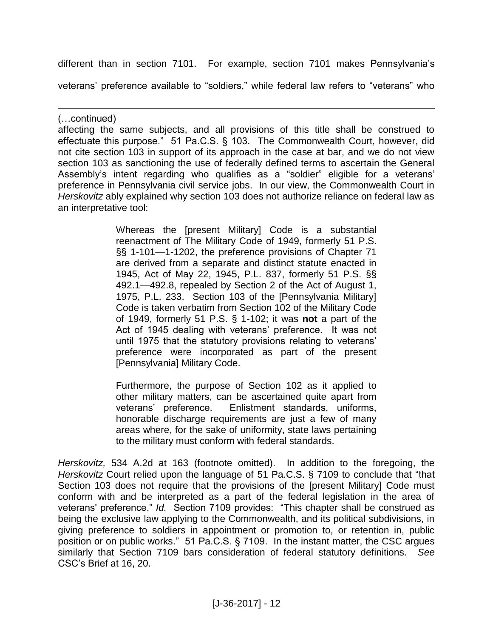different than in section 7101. For example, section 7101 makes Pennsylvania's

veterans' preference available to "soldiers," while federal law refers to "veterans" who

(…continued)

 $\overline{a}$ 

affecting the same subjects, and all provisions of this title shall be construed to effectuate this purpose." 51 Pa.C.S. § 103. The Commonwealth Court, however, did not cite section 103 in support of its approach in the case at bar, and we do not view section 103 as sanctioning the use of federally defined terms to ascertain the General Assembly's intent regarding who qualifies as a "soldier" eligible for a veterans' preference in Pennsylvania civil service jobs. In our view, the Commonwealth Court in *Herskovitz* ably explained why section 103 does not authorize reliance on federal law as an interpretative tool:

> Whereas the [present Military] Code is a substantial reenactment of The Military Code of 1949, formerly 51 P.S. §§ 1-101—1-1202, the preference provisions of Chapter 71 are derived from a separate and distinct statute enacted in 1945, Act of May 22, 1945, P.L. 837, formerly 51 P.S. §§ 492.1—492.8, repealed by Section 2 of the Act of August 1, 1975, P.L. 233. Section 103 of the [Pennsylvania Military] Code is taken verbatim from Section 102 of the Military Code of 1949, formerly 51 P.S. § 1-102; it was **not** a part of the Act of 1945 dealing with veterans' preference. It was not until 1975 that the statutory provisions relating to veterans' preference were incorporated as part of the present [Pennsylvania] Military Code.

> Furthermore, the purpose of Section 102 as it applied to other military matters, can be ascertained quite apart from veterans' preference. Enlistment standards, uniforms, honorable discharge requirements are just a few of many areas where, for the sake of uniformity, state laws pertaining to the military must conform with federal standards.

*Herskovitz,* 534 A.2d at 163 (footnote omitted). In addition to the foregoing, the *Herskovitz* Court relied upon the language of 51 Pa.C.S. § 7109 to conclude that "that Section 103 does not require that the provisions of the [present Military] Code must conform with and be interpreted as a part of the federal legislation in the area of veterans' preference." *Id.* Section 7109 provides: "This chapter shall be construed as being the exclusive law applying to the Commonwealth, and its political subdivisions, in giving preference to soldiers in appointment or promotion to, or retention in, public position or on public works." 51 Pa.C.S. § 7109. In the instant matter, the CSC argues similarly that Section 7109 bars consideration of federal statutory definitions. *See* CSC's Brief at 16, 20.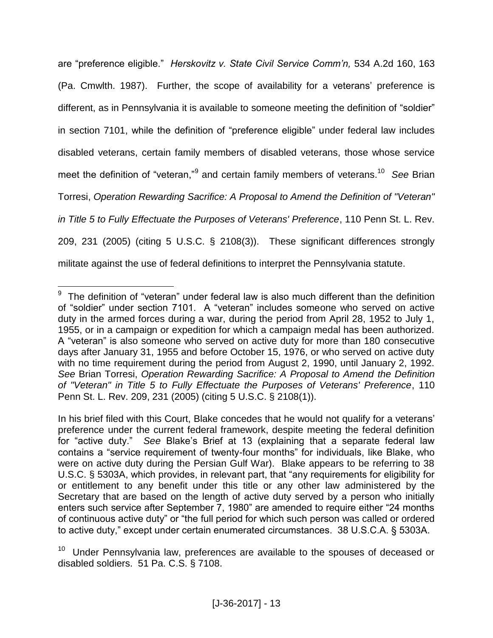are "preference eligible." *Herskovitz v. State Civil Service Comm'n,* 534 A.2d 160, 163 (Pa. Cmwlth. 1987). Further, the scope of availability for a veterans' preference is different, as in Pennsylvania it is available to someone meeting the definition of "soldier" in section 7101, while the definition of "preference eligible" under federal law includes disabled veterans, certain family members of disabled veterans, those whose service meet the definition of "veteran,"<sup>9</sup> and certain family members of veterans.<sup>10</sup> *See* Brian Torresi, *Operation Rewarding Sacrifice: A Proposal to Amend the Definition of "Veteran" in Title 5 to Fully Effectuate the Purposes of Veterans' Preference*, 110 Penn St. L. Rev. 209, 231 (2005) (citing 5 U.S.C. § 2108(3)). These significant differences strongly militate against the use of federal definitions to interpret the Pennsylvania statute.

**EXECTS**<br><sup>9</sup> The definition of "veteran" under federal law is also much different than the definition of "soldier" under section 7101. A "veteran" includes someone who served on active duty in the armed forces during a war, during the period from April 28, 1952 to July 1, 1955, or in a campaign or expedition for which a campaign medal has been authorized. A "veteran" is also someone who served on active duty for more than 180 consecutive days after January 31, 1955 and before October 15, 1976, or who served on active duty with no time requirement during the period from August 2, 1990, until January 2, 1992. *See* Brian Torresi, *Operation Rewarding Sacrifice: A Proposal to Amend the Definition of "Veteran" in Title 5 to Fully Effectuate the Purposes of Veterans' Preference*, 110 Penn St. L. Rev. 209, 231 (2005) (citing 5 U.S.C. § 2108(1)).

In his brief filed with this Court, Blake concedes that he would not qualify for a veterans' preference under the current federal framework, despite meeting the federal definition for "active duty." *See* Blake's Brief at 13 (explaining that a separate federal law contains a "service requirement of twenty-four months" for individuals, like Blake, who were on active duty during the Persian Gulf War). Blake appears to be referring to 38 U.S.C. § 5303A, which provides, in relevant part, that "any requirements for eligibility for or entitlement to any benefit under this title or any other law administered by the Secretary that are based on the length of active duty served by a person who initially enters such service after September 7, 1980" are amended to require either "24 months of continuous active duty" or "the full period for which such person was called or ordered to active duty," except under certain enumerated circumstances. 38 U.S.C.A. § 5303A.

<sup>10</sup> Under Pennsylvania law, preferences are available to the spouses of deceased or disabled soldiers. 51 Pa. C.S. § 7108.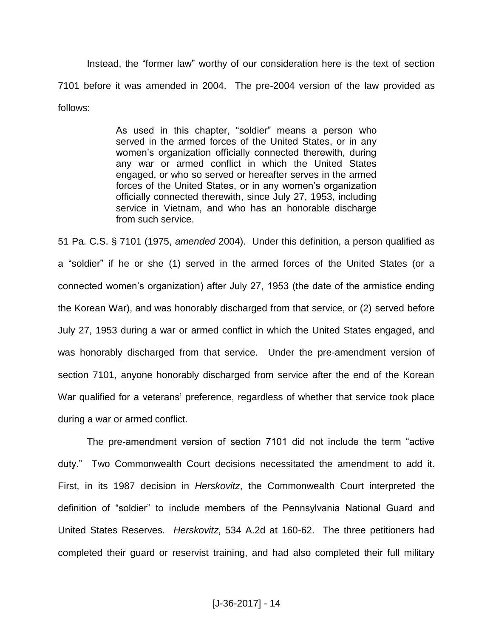Instead, the "former law" worthy of our consideration here is the text of section 7101 before it was amended in 2004. The pre-2004 version of the law provided as follows:

> As used in this chapter, "soldier" means a person who served in the armed forces of the United States, or in any women's organization officially connected therewith, during any war or armed conflict in which the United States engaged, or who so served or hereafter serves in the armed forces of the United States, or in any women's organization officially connected therewith, since July 27, 1953, including service in Vietnam, and who has an honorable discharge from such service.

51 Pa. C.S. § 7101 (1975, *amended* 2004). Under this definition, a person qualified as a "soldier" if he or she (1) served in the armed forces of the United States (or a connected women's organization) after July 27, 1953 (the date of the armistice ending the Korean War), and was honorably discharged from that service, or (2) served before July 27, 1953 during a war or armed conflict in which the United States engaged, and was honorably discharged from that service. Under the pre-amendment version of section 7101, anyone honorably discharged from service after the end of the Korean War qualified for a veterans' preference, regardless of whether that service took place during a war or armed conflict.

The pre-amendment version of section 7101 did not include the term "active duty." Two Commonwealth Court decisions necessitated the amendment to add it. First, in its 1987 decision in *Herskovitz*, the Commonwealth Court interpreted the definition of "soldier" to include members of the Pennsylvania National Guard and United States Reserves. *Herskovitz*, 534 A.2d at 160-62. The three petitioners had completed their guard or reservist training, and had also completed their full military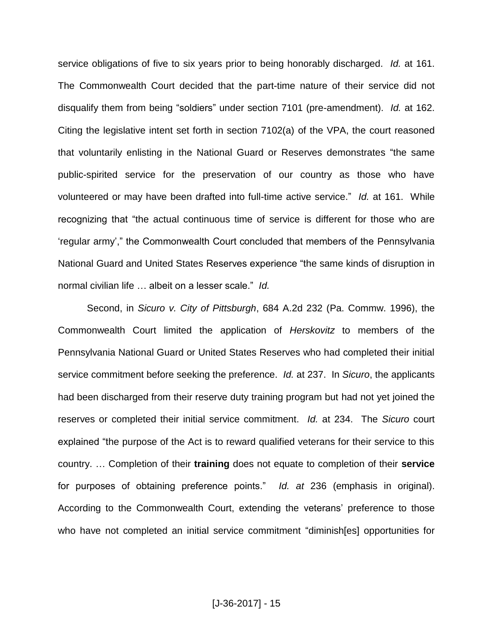service obligations of five to six years prior to being honorably discharged. *Id.* at 161. The Commonwealth Court decided that the part-time nature of their service did not disqualify them from being "soldiers" under section 7101 (pre-amendment). *Id.* at 162. Citing the legislative intent set forth in section 7102(a) of the VPA, the court reasoned that voluntarily enlisting in the National Guard or Reserves demonstrates "the same public-spirited service for the preservation of our country as those who have volunteered or may have been drafted into full-time active service." *Id.* at 161. While recognizing that "the actual continuous time of service is different for those who are 'regular army'," the Commonwealth Court concluded that members of the Pennsylvania National Guard and United States Reserves experience "the same kinds of disruption in normal civilian life … albeit on a lesser scale." *Id.*

Second, in *Sicuro v. City of Pittsburgh*, 684 A.2d 232 (Pa. Commw. 1996), the Commonwealth Court limited the application of *Herskovitz* to members of the Pennsylvania National Guard or United States Reserves who had completed their initial service commitment before seeking the preference. *Id.* at 237. In *Sicuro*, the applicants had been discharged from their reserve duty training program but had not yet joined the reserves or completed their initial service commitment. *Id.* at 234. The *Sicuro* court explained "the purpose of the Act is to reward qualified veterans for their service to this country. … Completion of their **training** does not equate to completion of their **service** for purposes of obtaining preference points." *Id. at* 236 (emphasis in original). According to the Commonwealth Court, extending the veterans' preference to those who have not completed an initial service commitment "diminish[es] opportunities for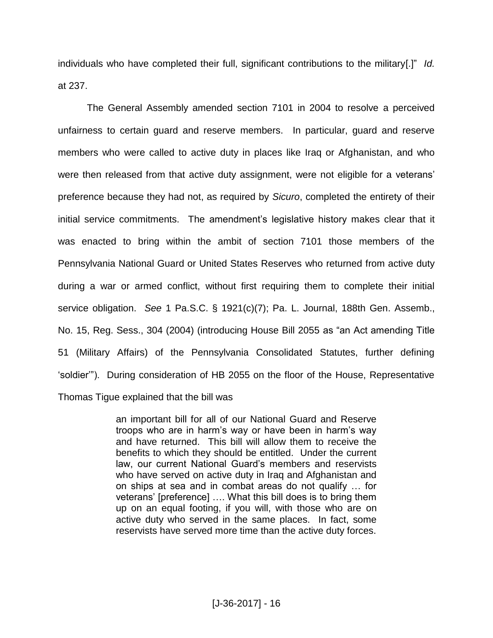individuals who have completed their full, significant contributions to the military[.]" *Id.*  at 237.

The General Assembly amended section 7101 in 2004 to resolve a perceived unfairness to certain guard and reserve members. In particular, guard and reserve members who were called to active duty in places like Iraq or Afghanistan, and who were then released from that active duty assignment, were not eligible for a veterans' preference because they had not, as required by *Sicuro*, completed the entirety of their initial service commitments. The amendment's legislative history makes clear that it was enacted to bring within the ambit of section 7101 those members of the Pennsylvania National Guard or United States Reserves who returned from active duty during a war or armed conflict, without first requiring them to complete their initial service obligation. *See* 1 Pa.S.C. § 1921(c)(7); Pa. L. Journal, 188th Gen. Assemb., No. 15, Reg. Sess., 304 (2004) (introducing House Bill 2055 as "an Act amending Title 51 (Military Affairs) of the Pennsylvania Consolidated Statutes, further defining 'soldier'"). During consideration of HB 2055 on the floor of the House, Representative Thomas Tigue explained that the bill was

> an important bill for all of our National Guard and Reserve troops who are in harm's way or have been in harm's way and have returned. This bill will allow them to receive the benefits to which they should be entitled. Under the current law, our current National Guard's members and reservists who have served on active duty in Iraq and Afghanistan and on ships at sea and in combat areas do not qualify … for veterans' [preference] …. What this bill does is to bring them up on an equal footing, if you will, with those who are on active duty who served in the same places. In fact, some reservists have served more time than the active duty forces.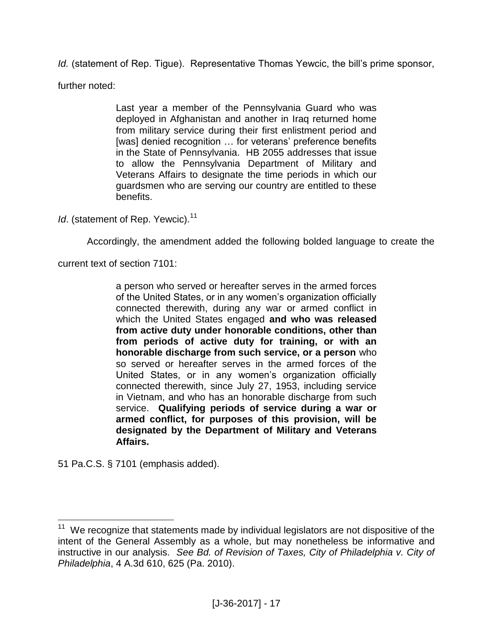*Id.* (statement of Rep. Tigue). Representative Thomas Yewcic, the bill's prime sponsor,

further noted:

Last year a member of the Pennsylvania Guard who was deployed in Afghanistan and another in Iraq returned home from military service during their first enlistment period and [was] denied recognition ... for veterans' preference benefits in the State of Pennsylvania. HB 2055 addresses that issue to allow the Pennsylvania Department of Military and Veterans Affairs to designate the time periods in which our guardsmen who are serving our country are entitled to these benefits.

*Id.* (statement of Rep. Yewcic).<sup>11</sup>

Accordingly, the amendment added the following bolded language to create the

current text of section 7101:

a person who served or hereafter serves in the armed forces of the United States, or in any women's organization officially connected therewith, during any war or armed conflict in which the United States engaged **and who was released from active duty under honorable conditions, other than from periods of active duty for training, or with an honorable discharge from such service, or a person** who so served or hereafter serves in the armed forces of the United States, or in any women's organization officially connected therewith, since July 27, 1953, including service in Vietnam, and who has an honorable discharge from such service. **Qualifying periods of service during a war or armed conflict, for purposes of this provision, will be designated by the Department of Military and Veterans Affairs.** 

51 Pa.C.S. § 7101 (emphasis added).

**TELEVISHEE**<br><sup>11</sup> We recognize that statements made by individual legislators are not dispositive of the intent of the General Assembly as a whole, but may nonetheless be informative and instructive in our analysis. *See Bd. of Revision of Taxes, City of Philadelphia v. City of Philadelphia*, 4 A.3d 610, 625 (Pa. 2010).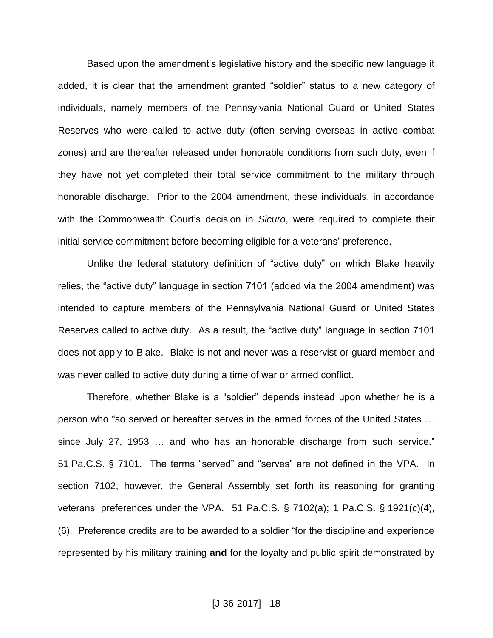Based upon the amendment's legislative history and the specific new language it added, it is clear that the amendment granted "soldier" status to a new category of individuals, namely members of the Pennsylvania National Guard or United States Reserves who were called to active duty (often serving overseas in active combat zones) and are thereafter released under honorable conditions from such duty, even if they have not yet completed their total service commitment to the military through honorable discharge. Prior to the 2004 amendment, these individuals, in accordance with the Commonwealth Court's decision in *Sicuro*, were required to complete their initial service commitment before becoming eligible for a veterans' preference.

Unlike the federal statutory definition of "active duty" on which Blake heavily relies, the "active duty" language in section 7101 (added via the 2004 amendment) was intended to capture members of the Pennsylvania National Guard or United States Reserves called to active duty. As a result, the "active duty" language in section 7101 does not apply to Blake. Blake is not and never was a reservist or guard member and was never called to active duty during a time of war or armed conflict.

Therefore, whether Blake is a "soldier" depends instead upon whether he is a person who "so served or hereafter serves in the armed forces of the United States … since July 27, 1953 … and who has an honorable discharge from such service." 51 Pa.C.S. § 7101. The terms "served" and "serves" are not defined in the VPA. In section 7102, however, the General Assembly set forth its reasoning for granting veterans' preferences under the VPA. 51 Pa.C.S. § 7102(a); 1 Pa.C.S. § 1921(c)(4), (6). Preference credits are to be awarded to a soldier "for the discipline and experience represented by his military training **and** for the loyalty and public spirit demonstrated by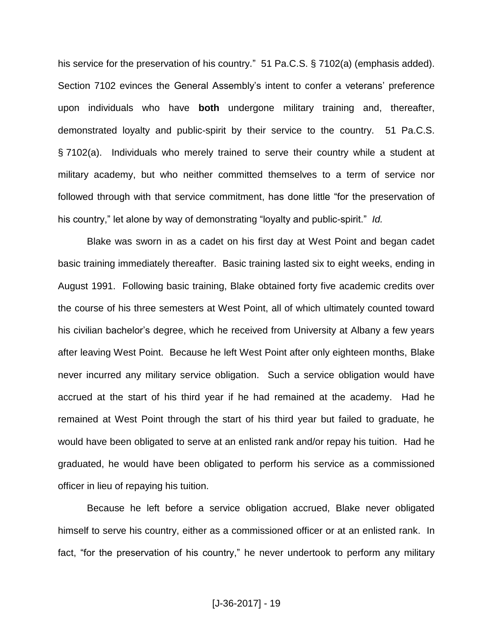his service for the preservation of his country." 51 Pa.C.S. § 7102(a) (emphasis added). Section 7102 evinces the General Assembly's intent to confer a veterans' preference upon individuals who have **both** undergone military training and, thereafter, demonstrated loyalty and public-spirit by their service to the country. 51 Pa.C.S. § 7102(a). Individuals who merely trained to serve their country while a student at military academy, but who neither committed themselves to a term of service nor followed through with that service commitment, has done little "for the preservation of his country," let alone by way of demonstrating "loyalty and public-spirit." *Id.*

Blake was sworn in as a cadet on his first day at West Point and began cadet basic training immediately thereafter. Basic training lasted six to eight weeks, ending in August 1991. Following basic training, Blake obtained forty five academic credits over the course of his three semesters at West Point, all of which ultimately counted toward his civilian bachelor's degree, which he received from University at Albany a few years after leaving West Point. Because he left West Point after only eighteen months, Blake never incurred any military service obligation. Such a service obligation would have accrued at the start of his third year if he had remained at the academy. Had he remained at West Point through the start of his third year but failed to graduate, he would have been obligated to serve at an enlisted rank and/or repay his tuition. Had he graduated, he would have been obligated to perform his service as a commissioned officer in lieu of repaying his tuition.

Because he left before a service obligation accrued, Blake never obligated himself to serve his country, either as a commissioned officer or at an enlisted rank. In fact, "for the preservation of his country," he never undertook to perform any military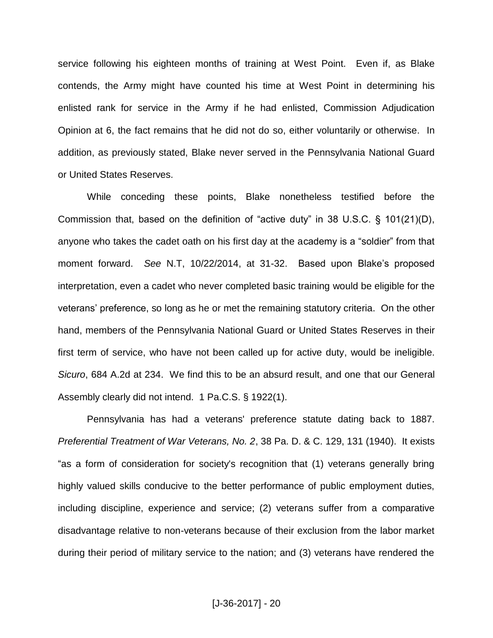service following his eighteen months of training at West Point. Even if, as Blake contends, the Army might have counted his time at West Point in determining his enlisted rank for service in the Army if he had enlisted, Commission Adjudication Opinion at 6, the fact remains that he did not do so, either voluntarily or otherwise. In addition, as previously stated, Blake never served in the Pennsylvania National Guard or United States Reserves.

While conceding these points, Blake nonetheless testified before the Commission that, based on the definition of "active duty" in 38 U.S.C. § 101(21)(D), anyone who takes the cadet oath on his first day at the academy is a "soldier" from that moment forward. *See* N.T, 10/22/2014, at 31-32. Based upon Blake's proposed interpretation, even a cadet who never completed basic training would be eligible for the veterans' preference, so long as he or met the remaining statutory criteria. On the other hand, members of the Pennsylvania National Guard or United States Reserves in their first term of service, who have not been called up for active duty, would be ineligible. *Sicuro*, 684 A.2d at 234. We find this to be an absurd result, and one that our General Assembly clearly did not intend. 1 Pa.C.S. § 1922(1).

Pennsylvania has had a veterans' preference statute dating back to 1887. *Preferential Treatment of War Veterans, No. 2*, 38 Pa. D. & C. 129, 131 (1940). It exists "as a form of consideration for society's recognition that (1) veterans generally bring highly valued skills conducive to the better performance of public employment duties, including discipline, experience and service; (2) veterans suffer from a comparative disadvantage relative to non-veterans because of their exclusion from the labor market during their period of military service to the nation; and (3) veterans have rendered the